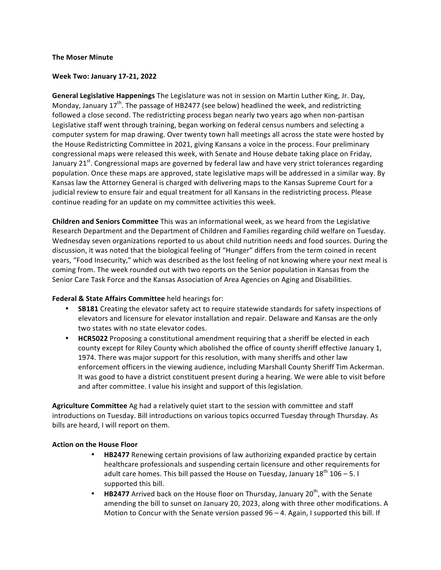## **The Moser Minute**

## **Week Two: January 17-21, 2022**

General Legislative Happenings The Legislature was not in session on Martin Luther King, Jr. Day, Monday, January  $17^{th}$ . The passage of HB2477 (see below) headlined the week, and redistricting followed a close second. The redistricting process began nearly two years ago when non-partisan Legislative staff went through training, began working on federal census numbers and selecting a computer system for map drawing. Over twenty town hall meetings all across the state were hosted by the House Redistricting Committee in 2021, giving Kansans a voice in the process. Four preliminary congressional maps were released this week, with Senate and House debate taking place on Friday, January 21 $^{\rm st}$ . Congressional maps are governed by federal law and have very strict tolerances regarding population. Once these maps are approved, state legislative maps will be addressed in a similar way. By Kansas law the Attorney General is charged with delivering maps to the Kansas Supreme Court for a judicial review to ensure fair and equal treatment for all Kansans in the redistricting process. Please continue reading for an update on my committee activities this week.

**Children and Seniors Committee** This was an informational week, as we heard from the Legislative Research Department and the Department of Children and Families regarding child welfare on Tuesday. Wednesday seven organizations reported to us about child nutrition needs and food sources. During the discussion, it was noted that the biological feeling of "Hunger" differs from the term coined in recent years, "Food Insecurity," which was described as the lost feeling of not knowing where your next meal is coming from. The week rounded out with two reports on the Senior population in Kansas from the Senior Care Task Force and the Kansas Association of Area Agencies on Aging and Disabilities.

## **Federal & State Affairs Committee** held hearings for:

- SB181 Creating the elevator safety act to require statewide standards for safety inspections of elevators and licensure for elevator installation and repair. Delaware and Kansas are the only two states with no state elevator codes.
- **HCR5022** Proposing a constitutional amendment requiring that a sheriff be elected in each county except for Riley County which abolished the office of county sheriff effective January 1, 1974. There was major support for this resolution, with many sheriffs and other law enforcement officers in the viewing audience, including Marshall County Sheriff Tim Ackerman. It was good to have a district constituent present during a hearing. We were able to visit before and after committee. I value his insight and support of this legislation.

**Agriculture Committee** Ag had a relatively quiet start to the session with committee and staff introductions on Tuesday. Bill introductions on various topics occurred Tuesday through Thursday. As bills are heard, I will report on them.

## **Action on the House Floor**

- **HB2477** Renewing certain provisions of law authorizing expanded practice by certain healthcare professionals and suspending certain licensure and other requirements for adult care homes. This bill passed the House on Tuesday, January  $18^{th}$  106 – 5. I supported this bill.
- **HB2477** Arrived back on the House floor on Thursday, January 20<sup>th</sup>, with the Senate amending the bill to sunset on January 20, 2023, along with three other modifications. A Motion to Concur with the Senate version passed  $96 - 4$ . Again, I supported this bill. If